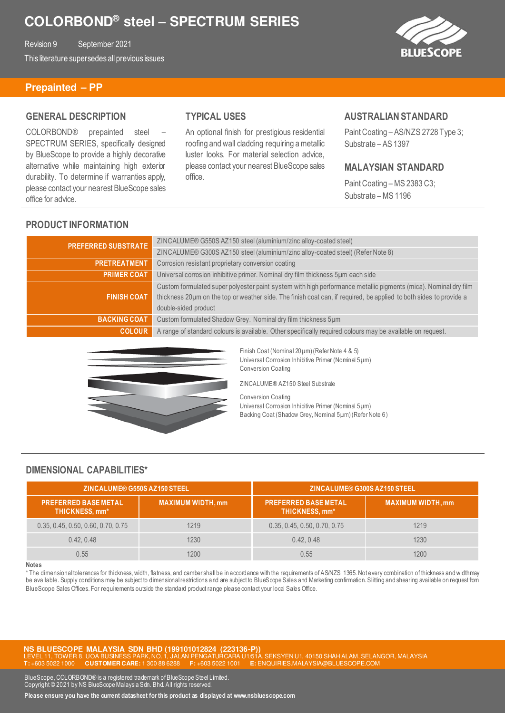Revision 9 September 2021 This literature supersedes all previous issues **BLUESCOPE** 

### **Prepainted – PP**

#### **GENERAL DESCRIPTION**

COLORBOND® prepainted steel – SPECTRUM SERIES, specifically designed by BlueScope to provide a highly decorative alternative while maintaining high exterior durability. To determine if warranties apply, please contact your nearest BlueScope sales office for advice.

# **TYPICAL USES**

An optional finish for prestigious residential roofing and wall cladding requiring a metallic luster looks. For material selection advice, please contact your nearest BlueScope sales office.

#### **AUSTRALIAN STANDARD**

Paint Coating – AS/NZS 2728 Type 3; Substrate – AS 1397

### **MALAYSIAN STANDARD**

Paint Coating – MS 2383 C3; Substrate – MS 1196

## **PRODUCT INFORMATION**

| <b>PREFERRED SUBSTRATE</b> | ZINCALUME® G550S AZ150 steel (aluminium/zinc alloy-coated steel)                                                   |
|----------------------------|--------------------------------------------------------------------------------------------------------------------|
|                            | ZINCALUME® G300S AZ150 steel (aluminium/zinc alloy-coated steel) (Refer Note 8)                                    |
| <b>PRETREATMENT</b>        | Corrosion resistant proprietary conversion coating                                                                 |
| <b>PRIMER COAT</b>         | Universal corrosion inhibitive primer. Nominal dry film thickness 5um each side                                    |
|                            | Custom formulated super polyester paint system with high performance metallic pigments (mica). Nominal dry film    |
| <b>FINISH COAT</b>         | thickness 20µm on the top or weather side. The finish coat can, if required, be applied to both sides to provide a |
|                            | double-sided product                                                                                               |
| <b>BACKING COAT</b>        | Custom formulated Shadow Grey. Nominal dry film thickness 5um                                                      |
| <b>COLOUR</b>              | A range of standard colours is available. Other specifically required colours may be available on request.         |



Finish Coat (Nominal 20µm) (Refer Note 4 & 5) Universal Corrosion Inhibitive Primer (Nominal 5µm) Conversion Coating

ZINCALUME® AZ150 Steel Substrate

Conversion Coating Universal Corrosion Inhibitive Primer (Nominal 5µm) Backing Coat (Shadow Grey, Nominal 5µm) (Refer Note 6)

## **DIMENSIONAL CAPABILITIES\***

| <b>ZINCALUME® G550S AZ150 STEEL</b>           |                          | ZINCALUME® G300S AZ150 STEEL                  |                          |
|-----------------------------------------------|--------------------------|-----------------------------------------------|--------------------------|
| <b>PREFERRED BASE METAL</b><br>THICKNESS, mm* | <b>MAXIMUM WIDTH, mm</b> | <b>PREFERRED BASE METAL</b><br>THICKNESS, mm* | <b>MAXIMUM WIDTH, mm</b> |
| 0.35, 0.45, 0.50, 0.60, 0.70, 0.75            | 1219                     | 0.35, 0.45, 0.50, 0.70, 0.75                  | 1219                     |
| 0.42, 0.48                                    | 1230                     | 0.42, 0.48                                    | 1230                     |
| 0.55                                          | 1200                     | 0.55                                          | 1200                     |

#### **Notes**

\* The dimensional tolerances for thickness, width, flatness, and camber shall be in accordance with the requirements of AS/NZS 1365. Not every combination of thickness and width may be available. Supply conditions may be subject to dimensional restrictions and are subject to BlueScope Sales and Marketing confirmation. Slitting and shearing available on request from BlueScope Sales Offices. For requirements outside the standard product range please contact your local Sales Office.

**NS BLUESCOPE MALAYSIA SDN BHD (199101012824 (223136-P))**  BUSINESS PARK, NO. 1, JALAN PENGATURCARA U1/51A, SEKSYEN U1, 40150 SHAH ALAM, SELANGOR, MALAYSIA<br>LOMER CARE: 1, 300.88.6288 F. +603.5022.1001 F. ENOLIBIES MALAYSIA@BLUESCOPE COM **T:** +603 5022 1000 **CUSTOMER CARE:** 1 300 88 6288 **F:** +603 5022 1001 **E:** ENQUIRIES.MALAYSIA@BLUESCOPE.COM

BlueScope, COLORBOND® is a registered trademark of BlueScope Steel Limited. Copyright © 2021 by NS BlueScope Malaysia Sdn. Bhd. All rights reserved.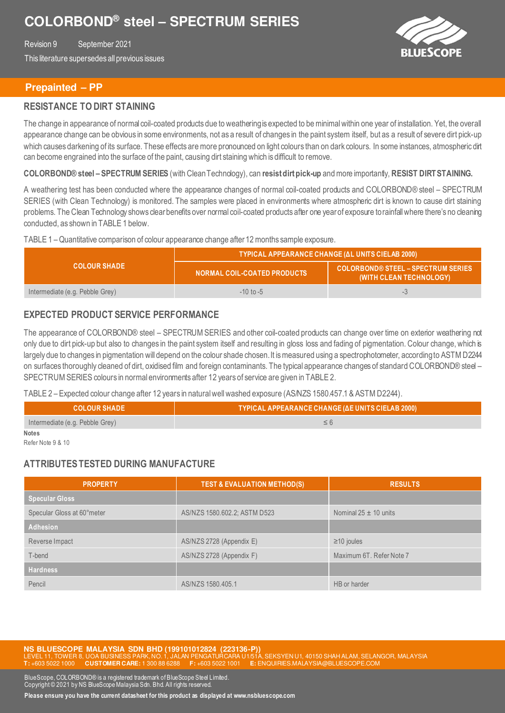Revision 9 September 2021 This literature supersedes all previous issues



## **Prepainted – PP**

### **RESISTANCE TO DIRT STAINING**

The change in appearance of normal coil-coated products due to weathering is expected to be minimal within one year of installation. Yet, the overall appearance change can be obvious in some environments, not as a result of changes in the paint system itself, but as a result of severe dirt pick-up which causes darkening of its surface. These effects are more pronounced on light colours than on dark colours. In some instances, atmospheric dit can become engrained into the surface of the paint, causing dirt staining which is difficult to remove.

**COLORBOND® steel – SPECTRUM SERIES** (with Clean Technology), can **resist dirt pick-up** and more importantly, **RESIST DIRT STAINING.** 

A weathering test has been conducted where the appearance changes of normal coil-coated products and COLORBOND® steel – SPECTRUM SERIES (with Clean Technology) is monitored. The samples were placed in environments where atmospheric dirt is known to cause dirt staining problems. The Clean Technology shows clear benefits over normal coil-coated products after one year of exposure to rainfall where there's no cleaning conducted, as shown in TABLE 1 below.

#### TABLE 1 – Quantitative comparison of colour appearance change after 12 months sample exposure.

|                                 | <b>TYPICAL APPEARANCE CHANGE (AL UNITS CIELAB 2000)</b> |                                                                |  |
|---------------------------------|---------------------------------------------------------|----------------------------------------------------------------|--|
| <b>COLOUR SHADE</b>             | NORMAL COIL-COATED PRODUCTS                             | COLORBOND® STEEL - SPECTRUM SERIES.<br>(WITH CLEAN TECHNOLOGY) |  |
| Intermediate (e.g. Pebble Grey) | $-10$ to $-5$                                           | т.                                                             |  |

## **EXPECTED PRODUCT SERVICE PERFORMANCE**

The appearance of COLORBOND® steel – SPECTRUM SERIES and other coil-coated products can change over time on exterior weathering not only due to dirt pick-up but also to changes in the paint system itself and resulting in gloss loss and fading of pigmentation. Colour change, which is largely due to changes in pigmentation will depend on the colour shade chosen. It is measured using a spectrophotometer, according to ASTM D2244 on surfaces thoroughly cleaned of dirt, oxidised film and foreign contaminants. The typical appearance changes of standard COLORBOND® steel – SPECTRUM SERIES colours in normal environments after 12 years of service are given in TABLE 2.

TABLE 2 – Expected colour change after 12 years in natural well washed exposure (AS/NZS 1580.457.1 & ASTM D2244).

| <b>COLOUR SHADE</b> '           | TYPICAL APPEARANCE CHANGE (ΔΕ UNITS CIELAB 2000) |  |
|---------------------------------|--------------------------------------------------|--|
| Intermediate (e.g. Pebble Grey) |                                                  |  |
| <b>Notes</b>                    |                                                  |  |

Refer Note 9 & 10

### **ATTRIBUTES TESTED DURING MANUFACTURE**

| <b>PROPERTY</b>            | <b>TEST &amp; EVALUATION METHOD(S)</b> | <b>RESULTS</b>            |
|----------------------------|----------------------------------------|---------------------------|
| <b>Specular Gloss</b>      |                                        |                           |
| Specular Gloss at 60°meter | AS/NZS 1580.602.2; ASTM D523           | Nominal $25 \pm 10$ units |
| <b>Adhesion</b>            |                                        |                           |
| Reverse Impact             | AS/NZS 2728 (Appendix E)               | $\geq$ 10 joules          |
| T-bend                     | AS/NZS 2728 (Appendix F)               | Maximum 6T. Refer Note 7  |
| <b>Hardness</b>            |                                        |                           |
| Pencil                     | AS/NZS 1580.405.1                      | HB or harder              |

**NS BLUESCOPE MALAYSIA SDN BHD (199101012824 (223136-P))**  40150 SHAH ALAM, SELANGOR, MALAYSIA **T:** +603 5022 1000 **CUSTOMER CARE:** 1 300 88 6288 **F:** +603 5022 1001 **E:** ENQUIRIES.MALAYSIA@BLUESCOPE.COM

BlueScope, COLORBOND® is a registered trademark of BlueScope Steel Limited. Copyright © 2021 by NS BlueScope Malaysia Sdn. Bhd. All rights reserved.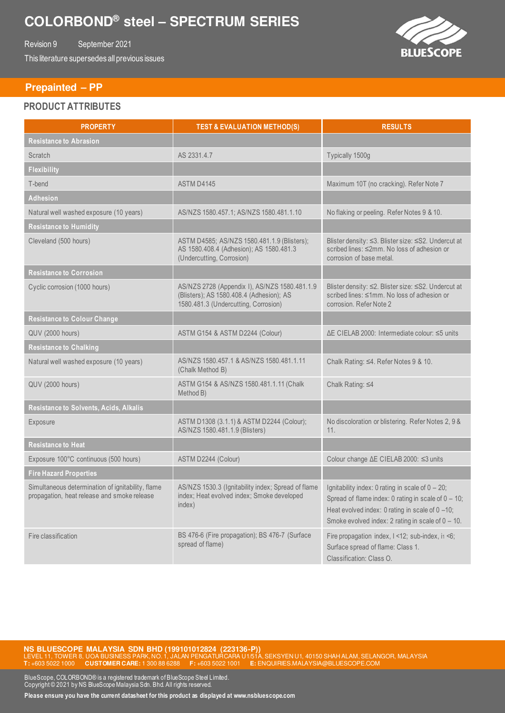Revision 9 September 2021 This literature supersedes all previous issues

 **Prepainted – PP** 

# **PRODUCT ATTRIBUTES**

| <b>PROPERTY</b>                                                                                  | <b>TEST &amp; EVALUATION METHOD(S)</b>                                                                                            | <b>RESULTS</b>                                                                                                                                                                                                           |
|--------------------------------------------------------------------------------------------------|-----------------------------------------------------------------------------------------------------------------------------------|--------------------------------------------------------------------------------------------------------------------------------------------------------------------------------------------------------------------------|
| <b>Resistance to Abrasion</b>                                                                    |                                                                                                                                   |                                                                                                                                                                                                                          |
| Scratch                                                                                          | AS 2331.4.7                                                                                                                       | Typically 1500g                                                                                                                                                                                                          |
| <b>Flexibility</b>                                                                               |                                                                                                                                   |                                                                                                                                                                                                                          |
| T-bend                                                                                           | ASTM D4145                                                                                                                        | Maximum 10T (no cracking). Refer Note 7                                                                                                                                                                                  |
| <b>Adhesion</b>                                                                                  |                                                                                                                                   |                                                                                                                                                                                                                          |
| Natural well washed exposure (10 years)                                                          | AS/NZS 1580.457.1; AS/NZS 1580.481.1.10                                                                                           | No flaking or peeling. Refer Notes 9 & 10.                                                                                                                                                                               |
| <b>Resistance to Humidity</b>                                                                    |                                                                                                                                   |                                                                                                                                                                                                                          |
| Cleveland (500 hours)                                                                            | ASTM D4585; AS/NZS 1580.481.1.9 (Blisters);<br>AS 1580.408.4 (Adhesion); AS 1580.481.3<br>(Undercutting, Corrosion)               | Blister density: ≤3. Blister size: ≤S2. Undercut at<br>scribed lines: ≤2mm. No loss of adhesion or<br>corrosion of base metal.                                                                                           |
| <b>Resistance to Corrosion</b>                                                                   |                                                                                                                                   |                                                                                                                                                                                                                          |
| Cyclic corrosion (1000 hours)                                                                    | AS/NZS 2728 (Appendix I), AS/NZS 1580.481.1.9<br>(Blisters); AS 1580.408.4 (Adhesion); AS<br>1580.481.3 (Undercutting, Corrosion) | Blister density: ≤2. Blister size: ≤S2. Undercut at<br>scribed lines: ≤1mm. No loss of adhesion or<br>corrosion. Refer Note 2                                                                                            |
| <b>Resistance to Colour Change</b>                                                               |                                                                                                                                   |                                                                                                                                                                                                                          |
| <b>QUV (2000 hours)</b>                                                                          | ASTM G154 & ASTM D2244 (Colour)                                                                                                   | AE CIELAB 2000: Intermediate colour: ≤5 units                                                                                                                                                                            |
| <b>Resistance to Chalking</b>                                                                    |                                                                                                                                   |                                                                                                                                                                                                                          |
| Natural well washed exposure (10 years)                                                          | AS/NZS 1580.457.1 & AS/NZS 1580.481.1.11<br>(Chalk Method B)                                                                      | Chalk Rating: ≤4. Refer Notes 9 & 10.                                                                                                                                                                                    |
| QUV (2000 hours)                                                                                 | ASTM G154 & AS/NZS 1580.481.1.11 (Chalk<br>Method B)                                                                              | Chalk Rating: ≤4                                                                                                                                                                                                         |
| Resistance to Solvents, Acids, Alkalis                                                           |                                                                                                                                   |                                                                                                                                                                                                                          |
| Exposure                                                                                         | ASTM D1308 (3.1.1) & ASTM D2244 (Colour);<br>AS/NZS 1580.481.1.9 (Blisters)                                                       | No discoloration or blistering. Refer Notes 2, 9 &<br>11.                                                                                                                                                                |
| <b>Resistance to Heat</b>                                                                        |                                                                                                                                   |                                                                                                                                                                                                                          |
| Exposure 100°C continuous (500 hours)                                                            | ASTM D2244 (Colour)                                                                                                               | Colour change ∆E CIELAB 2000: ≤3 units                                                                                                                                                                                   |
| <b>Fire Hazard Properties</b>                                                                    |                                                                                                                                   |                                                                                                                                                                                                                          |
| Simultaneous determination of ignitability, flame<br>propagation, heat release and smoke release | AS/NZS 1530.3 (Ignitability index; Spread of flame<br>index; Heat evolved index; Smoke developed<br>index)                        | Ignitability index: 0 rating in scale of $0 - 20$ ;<br>Spread of flame index: 0 rating in scale of $0 - 10$ ;<br>Heat evolved index: 0 rating in scale of 0 -10;<br>Smoke evolved index: 2 rating in scale of $0 - 10$ . |
| Fire classification                                                                              | BS 476-6 (Fire propagation); BS 476-7 (Surface<br>spread of flame)                                                                | Fire propagation index, I <12; sub-index, i1 <6;<br>Surface spread of flame: Class 1.<br>Classification: Class O.                                                                                                        |

**NS BLUESCOPE MALAYSIA SDN BHD (199101012824 (223136-P))**<br>LEVEL 11, TOWER 8, UOA BUSINESS PARK, NO. 1, JALAN PENGATURCARA U1/51A, SEKSYEN U1, 40150 SHAH ALAM, SELANGOR, MALAYSIA **T:** +603 5022 1000 **CUSTOMER CARE:** 1 300 88 6288 **F:** +603 5022 1001 **E:** ENQUIRIES.MALAYSIA@BLUESCOPE.COM

BlueScope, COLORBOND® is a registered trademark of BlueScope Steel Limited. Copyright © 2021 by NS BlueScope Malaysia Sdn. Bhd. All rights reserved.